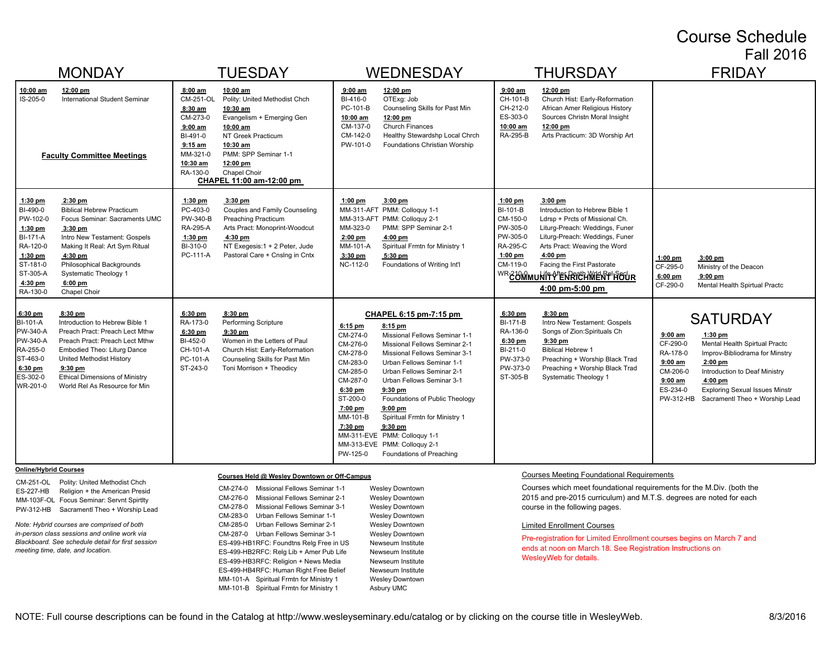#### Course Schedule Fall 2016

| <b>MONDAY</b>                                                                                                                                                                                                                                                                                                                                                                                            | <b>TUESDAY</b>                                                                                                                                                                                                                                                                                                                                            | <b>WEDNESDAY</b>                                                                                                                                                                                                                                                                                                                                                                                                                                                                                                                                                                               | <b>THURSDAY</b>                                                                                                                                                                                                                                                                                                                                                                                     | <b>FRIDAY</b>                                                                                                                                                                                                                                                                                                                             |
|----------------------------------------------------------------------------------------------------------------------------------------------------------------------------------------------------------------------------------------------------------------------------------------------------------------------------------------------------------------------------------------------------------|-----------------------------------------------------------------------------------------------------------------------------------------------------------------------------------------------------------------------------------------------------------------------------------------------------------------------------------------------------------|------------------------------------------------------------------------------------------------------------------------------------------------------------------------------------------------------------------------------------------------------------------------------------------------------------------------------------------------------------------------------------------------------------------------------------------------------------------------------------------------------------------------------------------------------------------------------------------------|-----------------------------------------------------------------------------------------------------------------------------------------------------------------------------------------------------------------------------------------------------------------------------------------------------------------------------------------------------------------------------------------------------|-------------------------------------------------------------------------------------------------------------------------------------------------------------------------------------------------------------------------------------------------------------------------------------------------------------------------------------------|
| 10:00 am<br>12:00 pm<br>IS-205-0<br><b>International Student Seminar</b><br><b>Faculty Committee Meetings</b>                                                                                                                                                                                                                                                                                            | 8:00 am<br>10:00 am<br>CM-251-OL<br>Polity: United Methodist Chch<br>8:30 am<br>10:30 am<br>CM-273-0<br>Evangelism + Emerging Gen<br>$9:00$ am<br>10:00 am<br>BI-491-0<br>NT Greek Practicum<br>$9:15$ am<br>10:30 am<br>MM-321-0<br>PMM: SPP Seminar 1-1<br>10:30 am<br>12:00 pm<br>RA-130-0<br>Chapel Choir<br>CHAPEL 11:00 am-12:00 pm                 | $9:00$ am<br>12:00 pm<br>BI-416-0<br>OTExg: Job<br>PC-101-B<br>Counseling Skills for Past Min<br>10:00 am<br>12:00 pm<br><b>Church Finances</b><br>CM-137-0<br>CM-142-0<br>Healthy Stewardshp Local Chrch<br>PW-101-0<br>Foundations Christian Worship                                                                                                                                                                                                                                                                                                                                         | $9:00$ am<br>12:00 pm<br>CH-101-B<br>Church Hist: Early-Reformation<br>African Amer Religious History<br>CH-212-0<br>ES-303-0<br>Sources Christn Moral Insight<br>10:00 am<br>12:00 pm<br>RA-295-B<br>Arts Practicum: 3D Worship Art                                                                                                                                                                |                                                                                                                                                                                                                                                                                                                                           |
| $2:30$ pm<br>$1:30$ pm<br>BI-490-0<br><b>Biblical Hebrew Practicum</b><br>PW-102-0<br>Focus Seminar: Sacraments UMC<br>$1:30$ pm<br>$3:30$ pm<br><b>BI-171-A</b><br>Intro New Testament: Gospels<br>RA-120-0<br>Making It Real: Art Sym Ritual<br>$1:30$ pm<br>4:30 pm<br>ST-181-0<br>Philosophical Backgrounds<br>ST-305-A<br>Systematic Theology 1<br>$6:00$ pm<br>4:30 pm<br>RA-130-0<br>Chapel Choir | 1:30 pm<br>$3:30$ pm<br>PC-403-0<br>Couples and Family Counseling<br>PW-340-B<br><b>Preaching Practicum</b><br>RA-295-A<br>Arts Pract: Monoprint-Woodcut<br>1:30 pm<br>4:30 pm<br>NT Exegesis: 1 + 2 Peter, Jude<br>BI-310-0<br>PC-111-A<br>Pastoral Care + Cnslng in Cntx                                                                                | $3:00$ pm<br>$1:00$ pm<br>MM-311-AFT PMM: Colloquy 1-1<br>MM-313-AFT PMM: Colloguy 2-1<br>MM-323-0<br>PMM: SPP Seminar 2-1<br>$2:00$ pm<br>4:00 pm<br>MM-101-A<br>Spiritual Frmtn for Ministry 1<br>$3:30$ pm<br>5:30 pm<br>NC-112-0<br>Foundations of Writing Int'l                                                                                                                                                                                                                                                                                                                           | $1:00$ pm<br>$3:00$ pm<br>BI-101-B<br>Introduction to Hebrew Bible 1<br>CM-150-0<br>Ldrsp + Prcts of Missional Ch.<br>PW-305-0<br>Liturg-Preach: Weddings, Funer<br>PW-305-0<br>Liturg-Preach: Weddings, Funer<br>RA-295-C<br>Arts Pract: Weaving the Word<br>$1:00$ pm<br>$4:00$ pm<br>CM-119-0<br>Facing the First Pastorate<br>WR ¿UMMUNITYENREUMENT HOUR<br>$4:00 \text{ pm} - 5:00 \text{ pm}$ | $3:00$ pm<br>$1:00$ pm<br>CF-295-0<br>Ministry of the Deacon<br>6:00 pm<br>$9:00$ pm<br>CF-290-0<br>Mental Health Spirtual Practc                                                                                                                                                                                                         |
| 6:30 pm<br>8:30 pm<br>BI-101-A<br>Introduction to Hebrew Bible 1<br>PW-340-A<br>Preach Pract: Preach Lect Mthw<br>PW-340-A<br>Preach Pract: Preach Lect Mthw<br>RA-255-0<br>Embodied Theo: Liturg Dance<br>ST-463-0<br>United Methodist History<br>6:30 pm<br>$9:30$ pm<br>ES-302-0<br><b>Ethical Dimensions of Ministry</b><br>WR-201-0<br>World Rel As Resource for Min                                | $6:30$ pm<br>$8:30$ pm<br>RA-173-0<br>Performing Scripture<br>6:30 pm<br>$9:30$ pm<br>BI-452-0<br>Women in the Letters of Paul<br>CH-101-A<br>Church Hist: Early-Reformation<br>PC-101-A<br>Counseling Skills for Past Min<br>ST-243-0<br>Toni Morrison + Theodicy                                                                                        | CHAPEL 6:15 pm-7:15 pm<br>$6:15$ pm<br>8:15 pm<br>CM-274-0<br>Missional Fellows Seminar 1-1<br>CM-276-0<br>Missional Fellows Seminar 2-1<br>CM-278-0<br>Missional Fellows Seminar 3-1<br>CM-283-0<br>Urban Fellows Seminar 1-1<br>CM-285-0<br>Urban Fellows Seminar 2-1<br>CM-287-0<br>Urban Fellows Seminar 3-1<br>$6:30$ pm<br>$9:30$ pm<br>ST-200-0<br>Foundations of Public Theology<br>7:00 pm<br>$9:00$ pm<br>MM-101-B<br>Spiritual Frmtn for Ministry 1<br>7:30 pm<br>$9:30$ pm<br>MM-311-EVE PMM: Colloquy 1-1<br>MM-313-EVE PMM: Colloquy 2-1<br>PW-125-0<br>Foundations of Preaching | $6:30$ pm<br>$8:30$ pm<br><b>BI-171-B</b><br>Intro New Testament: Gospels<br>Songs of Zion: Spirituals Ch<br>RA-136-0<br>6:30 pm<br>$9:30$ pm<br>BI-211-0<br><b>Biblical Hebrew 1</b><br>PW-373-0<br>Preaching + Worship Black Trad<br>PW-373-0<br>Preaching + Worship Black Trad<br>ST-305-B<br>Systematic Theology 1                                                                              | <b>SATURDAY</b><br>$9:00$ am<br>$1:30$ pm<br>CF-290-0<br>Mental Health Spirtual Practc<br>RA-178-0<br>Improv-Bibliodrama for Minstry<br>$9:00$ am<br>$2:00$ pm<br>CM-206-0<br>Introduction to Deaf Ministry<br>$9:00$ am<br>$4:00$ pm<br>ES-234-0<br><b>Exploring Sexual Issues Minstr</b><br>PW-312-HB<br>Sacramentl Theo + Worship Lead |
| <b>Online/Hybrid Courses</b><br>CM-251-OL<br>Polity: United Methodist Chch<br>Religion + the American Presid<br>ES-227-HB<br>MM-103F-OL Focus Seminar: Servnt Spirtlty<br>Sacramentl Theo + Worship Lead<br>PW-312-HB<br>Note: Hybrid courses are comprised of both<br>in-person class sessions and online work via<br>Blackboard. See schedule detail for first session                                 | Courses Held @ Wesley Downtown or Off-Campus<br>Missional Fellows Seminar 1-1<br>CM-274-0<br>CM-276-0<br>Missional Fellows Seminar 2-1<br>CM-278-0<br>Missional Fellows Seminar 3-1<br>CM-283-0<br>Urban Fellows Seminar 1-1<br>CM-285-0<br>Urban Fellows Seminar 2-1<br>CM-287-0<br>Urban Fellows Seminar 3-1<br>ES-499-HB1RFC: Foundtns Relg Free in US | <b>Wesley Downtown</b><br><b>Wesley Downtown</b><br><b>Wesley Downtown</b><br><b>Wesley Downtown</b><br><b>Wesley Downtown</b><br><b>Wesley Downtown</b><br>Newseum Institute                                                                                                                                                                                                                                                                                                                                                                                                                  | <b>Courses Meeting Foundational Requirements</b><br>Courses which meet foundational requirements for the M.Div. (both the<br>2015 and pre-2015 curriculum) and M.T.S. degrees are noted for each<br>course in the following pages.<br><b>Limited Enrollment Courses</b><br>Pre-registration for Limited Enrollment courses begins on March 7 and                                                    |                                                                                                                                                                                                                                                                                                                                           |

ends at noon on March 18. See Registration Instructions on WesleyWeb for details.

ES-499-HB2RFC: Relg Lib + Amer Pub Life Newseum Institute ES-499-HB3RFC: Religion + News Media Newseum Institute ES-499-HB4RFC: Human Right Free Belief Newseum Institute MM-101-A Spiritual Frmtn for Ministry 1 Wesley Downtown MM-101-B Spiritual Frmtn for Ministry 1 Asbury UMC

*meeting time, date, and location.*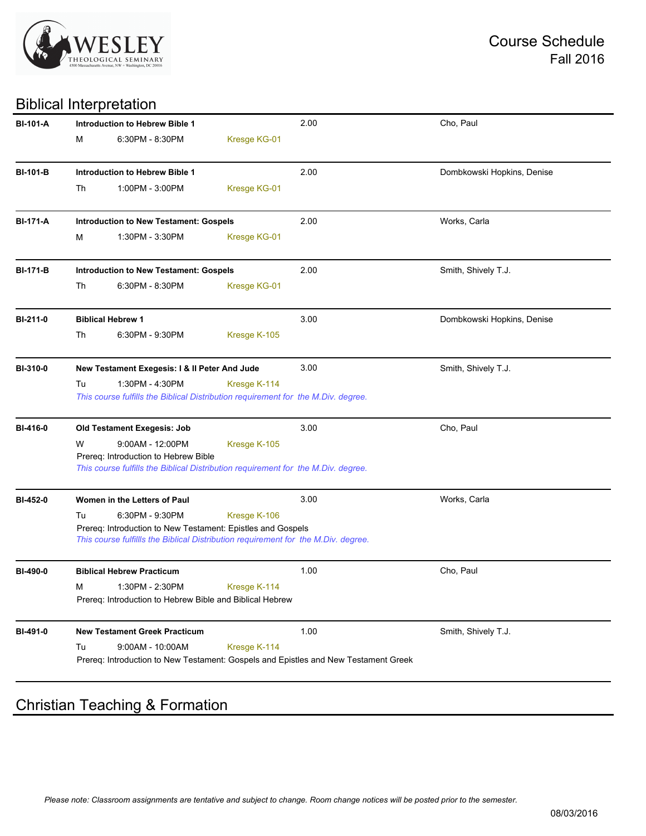

## Biblical Interpretation

| <b>BI-101-A</b> |                 | <b>Introduction to Hebrew Bible 1</b>                                                                                                             |                     | 2.00                                                                                | Cho, Paul                  |  |  |  |
|-----------------|-----------------|---------------------------------------------------------------------------------------------------------------------------------------------------|---------------------|-------------------------------------------------------------------------------------|----------------------------|--|--|--|
|                 | М               | 6:30PM - 8:30PM                                                                                                                                   | Kresge KG-01        |                                                                                     |                            |  |  |  |
| <b>BI-101-B</b> |                 | Introduction to Hebrew Bible 1                                                                                                                    |                     | 2.00                                                                                | Dombkowski Hopkins, Denise |  |  |  |
|                 | Th              | 1:00PM - 3:00PM                                                                                                                                   | Kresge KG-01        |                                                                                     |                            |  |  |  |
|                 |                 |                                                                                                                                                   |                     |                                                                                     |                            |  |  |  |
| <b>BI-171-A</b> |                 | <b>Introduction to New Testament: Gospels</b>                                                                                                     |                     | 2.00                                                                                | Works, Carla               |  |  |  |
|                 | м               | 1:30PM - 3:30PM                                                                                                                                   | Kresge KG-01        |                                                                                     |                            |  |  |  |
| <b>BI-171-B</b> |                 | <b>Introduction to New Testament: Gospels</b>                                                                                                     |                     | 2.00                                                                                | Smith, Shively T.J.        |  |  |  |
|                 | Th              | 6:30PM - 8:30PM                                                                                                                                   | Kresge KG-01        |                                                                                     |                            |  |  |  |
| BI-211-0        |                 | <b>Biblical Hebrew 1</b>                                                                                                                          |                     | 3.00                                                                                | Dombkowski Hopkins, Denise |  |  |  |
|                 | Th              | 6:30PM - 9:30PM                                                                                                                                   | Kresge K-105        |                                                                                     |                            |  |  |  |
| <b>BI-310-0</b> |                 | New Testament Exegesis: I & II Peter And Jude                                                                                                     |                     | 3.00                                                                                | Smith, Shively T.J.        |  |  |  |
|                 | Tu              | 1:30PM - 4:30PM                                                                                                                                   | Kresge K-114        |                                                                                     |                            |  |  |  |
|                 |                 | This course fulfills the Biblical Distribution requirement for the M.Div. degree.                                                                 |                     |                                                                                     |                            |  |  |  |
| BI-416-0        |                 | Old Testament Exegesis: Job                                                                                                                       |                     | 3.00                                                                                | Cho, Paul                  |  |  |  |
|                 | W               | $9:00AM - 12:00PM$                                                                                                                                | Kresge K-105        |                                                                                     |                            |  |  |  |
|                 |                 | Prereq: Introduction to Hebrew Bible                                                                                                              |                     |                                                                                     |                            |  |  |  |
|                 |                 | This course fulfills the Biblical Distribution requirement for the M.Div. degree.                                                                 |                     |                                                                                     |                            |  |  |  |
| BI-452-0        |                 | Women in the Letters of Paul                                                                                                                      |                     | 3.00                                                                                | Works, Carla               |  |  |  |
|                 | Tu              | 6:30PM - 9:30PM                                                                                                                                   | Kresge K-106        |                                                                                     |                            |  |  |  |
|                 |                 | Prereq: Introduction to New Testament: Epistles and Gospels<br>This course fulfillls the Biblical Distribution requirement for the M.Div. degree. |                     |                                                                                     |                            |  |  |  |
|                 |                 |                                                                                                                                                   |                     |                                                                                     |                            |  |  |  |
| BI-490-0        |                 | <b>Biblical Hebrew Practicum</b>                                                                                                                  |                     | 1.00                                                                                | Cho, Paul                  |  |  |  |
|                 | M <sub>11</sub> | 1:30PM - 2:30PM                                                                                                                                   | <b>Kresge K-114</b> |                                                                                     |                            |  |  |  |
|                 |                 | Prereq: Introduction to Hebrew Bible and Biblical Hebrew                                                                                          |                     |                                                                                     |                            |  |  |  |
| BI-491-0        |                 | <b>New Testament Greek Practicum</b>                                                                                                              |                     | 1.00                                                                                | Smith, Shively T.J.        |  |  |  |
|                 | Tu              | $9:00AM - 10:00AM$                                                                                                                                | Kresge K-114        |                                                                                     |                            |  |  |  |
|                 |                 |                                                                                                                                                   |                     | Prereq: Introduction to New Testament: Gospels and Epistles and New Testament Greek |                            |  |  |  |
|                 |                 |                                                                                                                                                   |                     |                                                                                     |                            |  |  |  |

# Christian Teaching & Formation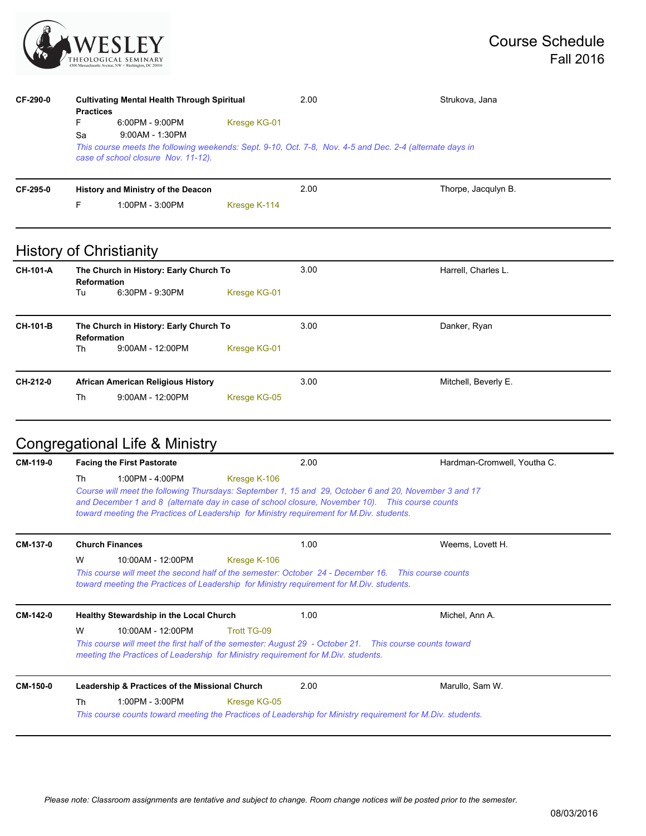

| CF-290-0 | <b>Practices</b><br>F.                                                                                | <b>Cultivating Mental Health Through Spiritual</b><br>6:00PM - 9:00PM                                                                                              | Kresge KG-01 | 2.00                | Strukova, Jana       |  |  |  |  |
|----------|-------------------------------------------------------------------------------------------------------|--------------------------------------------------------------------------------------------------------------------------------------------------------------------|--------------|---------------------|----------------------|--|--|--|--|
|          | Sa                                                                                                    | 9:00AM - 1:30PM<br>This course meets the following weekends: Sept. 9-10, Oct. 7-8, Nov. 4-5 and Dec. 2-4 (alternate days in<br>case of school closure Nov. 11-12). |              |                     |                      |  |  |  |  |
| CF-295-0 |                                                                                                       | History and Ministry of the Deacon                                                                                                                                 |              | 2.00                | Thorpe, Jacqulyn B.  |  |  |  |  |
|          | F.                                                                                                    | 1:00PM - 3:00PM                                                                                                                                                    | Kresge K-114 |                     |                      |  |  |  |  |
|          |                                                                                                       | <b>History of Christianity</b>                                                                                                                                     |              |                     |                      |  |  |  |  |
| CH-101-A | The Church in History: Early Church To<br><b>Reformation</b><br>6:30PM - 9:30PM<br>Kresge KG-01<br>Tu |                                                                                                                                                                    | 3.00         | Harrell, Charles L. |                      |  |  |  |  |
| CH-101-B | The Church in History: Early Church To<br><b>Reformation</b>                                          |                                                                                                                                                                    |              | 3.00                | Danker, Ryan         |  |  |  |  |
|          | Th                                                                                                    | 9:00AM - 12:00PM                                                                                                                                                   | Kresge KG-01 |                     |                      |  |  |  |  |
| CH-212-0 | <b>African American Religious History</b>                                                             |                                                                                                                                                                    |              | 3.00                | Mitchell, Beverly E. |  |  |  |  |
|          | Th                                                                                                    | $9:00AM - 12:00PM$                                                                                                                                                 | Kresge KG-05 |                     |                      |  |  |  |  |
|          |                                                                                                       |                                                                                                                                                                    |              |                     |                      |  |  |  |  |

# Congregational Life & Ministry

| CM-119-0 | <b>Facing the First Pastorate</b>                                                                                                                                                            | 2.00                                                                                                                                                                                                                                                                                                 | Hardman-Cromwell, Youtha C. |  |  |  |
|----------|----------------------------------------------------------------------------------------------------------------------------------------------------------------------------------------------|------------------------------------------------------------------------------------------------------------------------------------------------------------------------------------------------------------------------------------------------------------------------------------------------------|-----------------------------|--|--|--|
|          | 1:00PM - 4:00PM<br>Th                                                                                                                                                                        | Kresge K-106                                                                                                                                                                                                                                                                                         |                             |  |  |  |
|          |                                                                                                                                                                                              | Course will meet the following Thursdays: September 1, 15 and 29, October 6 and 20, November 3 and 17<br>and December 1 and 8 (alternate day in case of school closure, November 10). This course counts<br>toward meeting the Practices of Leadership for Ministry requirement for M.Div. students. |                             |  |  |  |
| CM-137-0 | <b>Church Finances</b>                                                                                                                                                                       | 1.00                                                                                                                                                                                                                                                                                                 | Weems, Lovett H.            |  |  |  |
|          | W<br>10:00AM - 12:00PM                                                                                                                                                                       | Kresge K-106                                                                                                                                                                                                                                                                                         |                             |  |  |  |
|          |                                                                                                                                                                                              | This course will meet the second half of the semester: October 24 - December 16. This course counts<br>toward meeting the Practices of Leadership for Ministry requirement for M.Div. students.                                                                                                      |                             |  |  |  |
| CM-142-0 | <b>Healthy Stewardship in the Local Church</b>                                                                                                                                               | 1.00                                                                                                                                                                                                                                                                                                 | Michel, Ann A.              |  |  |  |
|          | W<br>10:00AM - 12:00PM                                                                                                                                                                       | Trott TG-09                                                                                                                                                                                                                                                                                          |                             |  |  |  |
|          | This course will meet the first half of the semester: August 29 - October 21. This course counts toward<br>meeting the Practices of Leadership for Ministry requirement for M.Div. students. |                                                                                                                                                                                                                                                                                                      |                             |  |  |  |
| CM-150-0 | Leadership & Practices of the Missional Church                                                                                                                                               | 2.00                                                                                                                                                                                                                                                                                                 | Marullo, Sam W.             |  |  |  |
|          | 1:00PM - 3:00PM<br>Th                                                                                                                                                                        | Kresge KG-05<br>This course counts toward meeting the Practices of Leadership for Ministry requirement for M.Div. students.                                                                                                                                                                          |                             |  |  |  |
|          |                                                                                                                                                                                              |                                                                                                                                                                                                                                                                                                      |                             |  |  |  |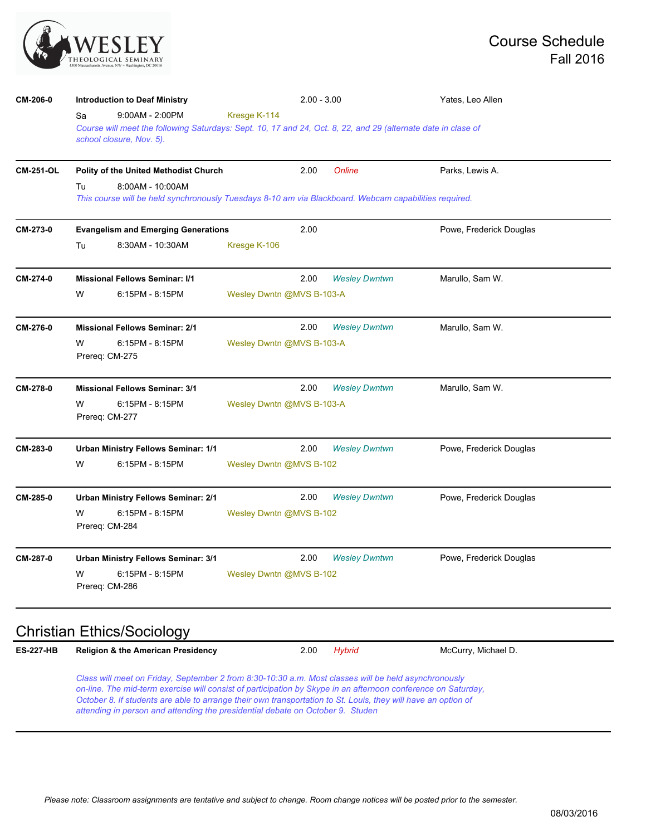

| CM-206-0         | <b>Introduction to Deaf Ministry</b>                                                                                            |                                                                                                               | $2.00 - 3.00$             | Yates, Leo Allen        |  |  |  |  |  |
|------------------|---------------------------------------------------------------------------------------------------------------------------------|---------------------------------------------------------------------------------------------------------------|---------------------------|-------------------------|--|--|--|--|--|
|                  | $9:00AM - 2:00PM$<br>Sa                                                                                                         | Kresge K-114                                                                                                  |                           |                         |  |  |  |  |  |
|                  | school closure, Nov. 5).                                                                                                        | Course will meet the following Saturdays: Sept. 10, 17 and 24, Oct. 8, 22, and 29 (alternate date in clase of |                           |                         |  |  |  |  |  |
|                  |                                                                                                                                 |                                                                                                               |                           |                         |  |  |  |  |  |
| <b>CM-251-OL</b> | Polity of the United Methodist Church                                                                                           | 2.00                                                                                                          | Online                    | Parks, Lewis A.         |  |  |  |  |  |
|                  | Tu<br>8:00AM - 10:00AM<br>This course will be held synchronously Tuesdays 8-10 am via Blackboard. Webcam capabilities required. |                                                                                                               |                           |                         |  |  |  |  |  |
| CM-273-0         | <b>Evangelism and Emerging Generations</b>                                                                                      | 2.00                                                                                                          |                           | Powe, Frederick Douglas |  |  |  |  |  |
|                  | 8:30AM - 10:30AM<br>Tu                                                                                                          | Kresge K-106                                                                                                  |                           |                         |  |  |  |  |  |
| CM-274-0         | <b>Missional Fellows Seminar: I/1</b>                                                                                           | 2.00                                                                                                          | <b>Wesley Dwntwn</b>      | Marullo, Sam W.         |  |  |  |  |  |
|                  | W<br>6:15PM - 8:15PM                                                                                                            |                                                                                                               | Wesley Dwntn @MVS B-103-A |                         |  |  |  |  |  |
| CM-276-0         | <b>Missional Fellows Seminar: 2/1</b>                                                                                           | 2.00                                                                                                          | <b>Wesley Dwntwn</b>      | Marullo, Sam W.         |  |  |  |  |  |
|                  | 6:15PM - 8:15PM<br>W<br>Prereq: CM-275                                                                                          | Wesley Dwntn @MVS B-103-A                                                                                     |                           |                         |  |  |  |  |  |
| CM-278-0         | <b>Missional Fellows Seminar: 3/1</b>                                                                                           | 2.00                                                                                                          | <b>Wesley Dwntwn</b>      | Marullo, Sam W.         |  |  |  |  |  |
|                  | W<br>6:15PM - 8:15PM<br>Prereq: CM-277                                                                                          | Wesley Dwntn @MVS B-103-A                                                                                     |                           |                         |  |  |  |  |  |
| CM-283-0         | <b>Urban Ministry Fellows Seminar: 1/1</b>                                                                                      | 2.00                                                                                                          | <b>Wesley Dwntwn</b>      | Powe, Frederick Douglas |  |  |  |  |  |
|                  | W<br>6:15PM - 8:15PM                                                                                                            | Wesley Dwntn @MVS B-102                                                                                       |                           |                         |  |  |  |  |  |
| CM-285-0         | Urban Ministry Fellows Seminar: 2/1                                                                                             | 2.00                                                                                                          | <b>Wesley Dwntwn</b>      | Powe, Frederick Douglas |  |  |  |  |  |
|                  | 6:15PM - 8:15PM<br>w<br>Prereq: CM-284                                                                                          | Wesley Dwntn @MVS B-102                                                                                       |                           |                         |  |  |  |  |  |
| CM-287-0         | <b>Urban Ministry Fellows Seminar: 3/1</b>                                                                                      | 2.00                                                                                                          | <b>Wesley Dwntwn</b>      | Powe, Frederick Douglas |  |  |  |  |  |
|                  | W<br>6:15PM - 8:15PM<br>Prereg: CM-286                                                                                          | Wesley Dwntn @MVS B-102                                                                                       |                           |                         |  |  |  |  |  |

### Christian Ethics/Sociology

| <b>ES-227-HB</b> | <b>Religion &amp; the American Presidency</b> | 2.00 Hybrid | McCurry, Michael D. |
|------------------|-----------------------------------------------|-------------|---------------------|
|                  |                                               |             |                     |

*Class will meet on Friday, September 2 from 8:30-10:30 a.m. Most classes will be held asynchronously on-line. The mid-term exercise will consist of participation by Skype in an afternoon conference on Saturday, October 8. If students are able to arrange their own transportation to St. Louis, they will have an option of attending in person and attending the presidential debate on October 9. Studen*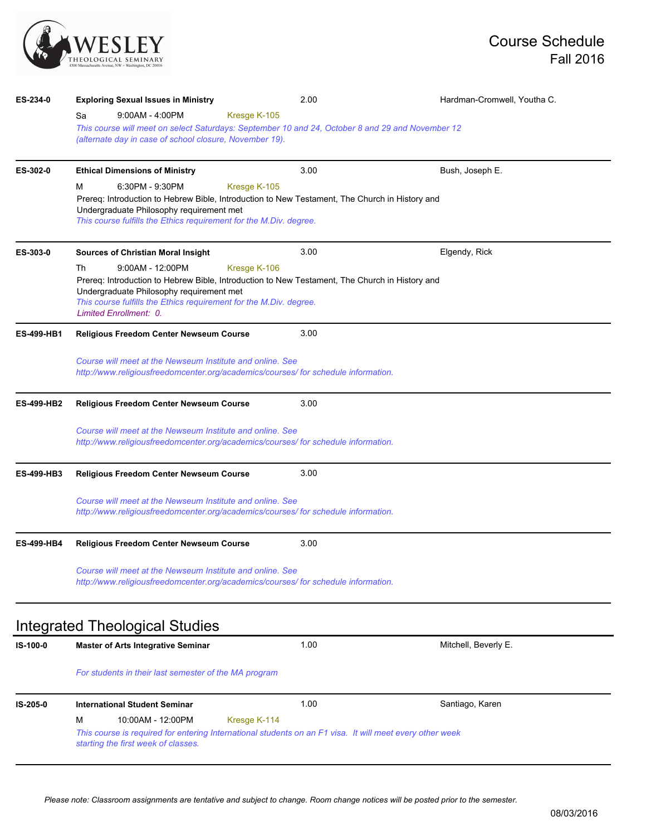

| ES-234-0          | <b>Exploring Sexual Issues in Ministry</b>                                                                     |              | 2.00 | Hardman-Cromwell, Youtha C. |  |  |  |
|-------------------|----------------------------------------------------------------------------------------------------------------|--------------|------|-----------------------------|--|--|--|
|                   | $9:00AM - 4:00PM$<br>Sa                                                                                        | Kresge K-105 |      |                             |  |  |  |
|                   | This course will meet on select Saturdays: September 10 and 24, October 8 and 29 and November 12               |              |      |                             |  |  |  |
|                   | (alternate day in case of school closure, November 19).                                                        |              |      |                             |  |  |  |
| ES-302-0          | <b>Ethical Dimensions of Ministry</b>                                                                          |              | 3.00 | Bush, Joseph E.             |  |  |  |
|                   | 6:30PM - 9:30PM<br>м                                                                                           | Kresge K-105 |      |                             |  |  |  |
|                   | Prereq: Introduction to Hebrew Bible, Introduction to New Testament, The Church in History and                 |              |      |                             |  |  |  |
|                   | Undergraduate Philosophy requirement met<br>This course fulfills the Ethics requirement for the M.Div. degree. |              |      |                             |  |  |  |
|                   |                                                                                                                |              |      |                             |  |  |  |
| ES-303-0          | <b>Sources of Christian Moral Insight</b>                                                                      |              | 3.00 | Elgendy, Rick               |  |  |  |
|                   | $9:00AM - 12:00PM$<br>Th                                                                                       | Kresge K-106 |      |                             |  |  |  |
|                   | Prereq: Introduction to Hebrew Bible, Introduction to New Testament, The Church in History and                 |              |      |                             |  |  |  |
|                   | Undergraduate Philosophy requirement met<br>This course fulfills the Ethics requirement for the M.Div. degree. |              |      |                             |  |  |  |
|                   | Limited Enrollment: 0.                                                                                         |              |      |                             |  |  |  |
| <b>ES-499-HB1</b> | 3.00<br>Religious Freedom Center Newseum Course                                                                |              |      |                             |  |  |  |
|                   | Course will meet at the Newseum Institute and online. See                                                      |              |      |                             |  |  |  |
|                   | http://www.religiousfreedomcenter.org/academics/courses/ for schedule information.                             |              |      |                             |  |  |  |
|                   |                                                                                                                |              |      |                             |  |  |  |
| <b>ES-499-HB2</b> | <b>Religious Freedom Center Newseum Course</b>                                                                 |              | 3.00 |                             |  |  |  |
|                   | Course will meet at the Newseum Institute and online. See                                                      |              |      |                             |  |  |  |
|                   | http://www.religiousfreedomcenter.org/academics/courses/ for schedule information.                             |              |      |                             |  |  |  |
|                   |                                                                                                                |              |      |                             |  |  |  |
| <b>ES-499-HB3</b> | Religious Freedom Center Newseum Course                                                                        |              | 3.00 |                             |  |  |  |
|                   | Course will meet at the Newseum Institute and online. See                                                      |              |      |                             |  |  |  |
|                   | http://www.religiousfreedomcenter.org/academics/courses/ for schedule information.                             |              |      |                             |  |  |  |
|                   |                                                                                                                |              |      |                             |  |  |  |
| <b>ES-499-HB4</b> | 3.00<br><b>Religious Freedom Center Newseum Course</b>                                                         |              |      |                             |  |  |  |
|                   | Course will meet at the Newseum Institute and online. See                                                      |              |      |                             |  |  |  |
|                   | http://www.religiousfreedomcenter.org/academics/courses/ for schedule information.                             |              |      |                             |  |  |  |
|                   |                                                                                                                |              |      |                             |  |  |  |
|                   | Integrated Theological Studies                                                                                 |              |      |                             |  |  |  |
| IS-100-0          | <b>Master of Arts Integrative Seminar</b>                                                                      |              | 1.00 | Mitchell, Beverly E.        |  |  |  |
|                   |                                                                                                                |              |      |                             |  |  |  |
|                   | For students in their last semester of the MA program                                                          |              |      |                             |  |  |  |
|                   |                                                                                                                |              |      |                             |  |  |  |

**IS-205-0 International Student Seminar** 1.00 Santiago, Karen M 10:00AM - 12:00PM Kresge K-114 *This course is required for entering International students on an F1 visa. It will meet every other week starting the first week of classes.*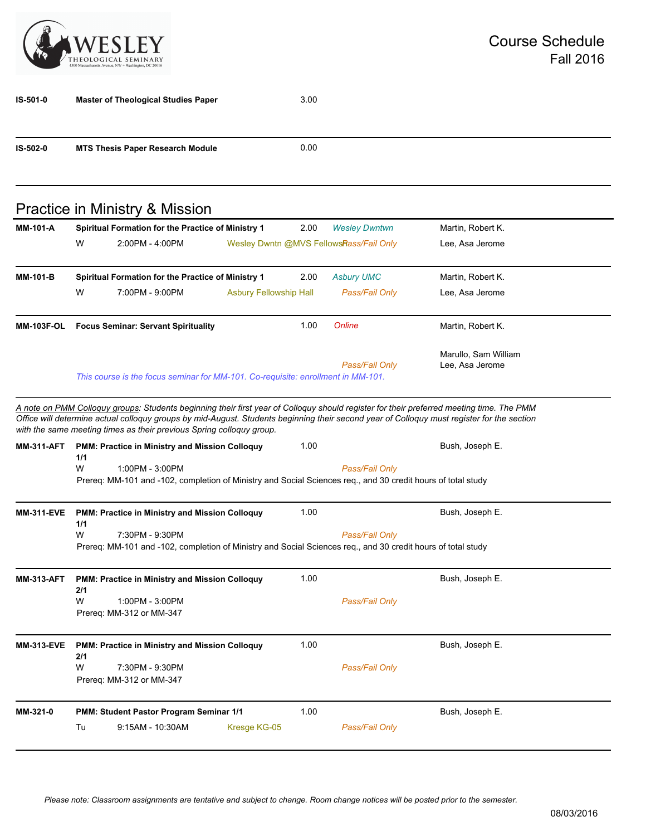

| IS-501-0          | <b>Master of Theological Studies Paper</b>                                                                                                                                                                                                                                                                                                                     |                               | 3.00 |                                         |                                         |
|-------------------|----------------------------------------------------------------------------------------------------------------------------------------------------------------------------------------------------------------------------------------------------------------------------------------------------------------------------------------------------------------|-------------------------------|------|-----------------------------------------|-----------------------------------------|
| IS-502-0          | <b>MTS Thesis Paper Research Module</b>                                                                                                                                                                                                                                                                                                                        |                               | 0.00 |                                         |                                         |
|                   | Practice in Ministry & Mission                                                                                                                                                                                                                                                                                                                                 |                               |      |                                         |                                         |
| <b>MM-101-A</b>   | Spiritual Formation for the Practice of Ministry 1                                                                                                                                                                                                                                                                                                             |                               | 2.00 | <b>Wesley Dwntwn</b>                    | Martin, Robert K.                       |
|                   | W<br>2:00PM - 4:00PM                                                                                                                                                                                                                                                                                                                                           |                               |      | Wesley Dwntn @MVS FellowsRass/Fail Only | Lee, Asa Jerome                         |
| <b>MM-101-B</b>   | Spiritual Formation for the Practice of Ministry 1                                                                                                                                                                                                                                                                                                             |                               | 2.00 | <b>Asbury UMC</b>                       | Martin, Robert K.                       |
|                   | W<br>7:00PM - 9:00PM                                                                                                                                                                                                                                                                                                                                           | <b>Asbury Fellowship Hall</b> |      | Pass/Fail Only                          | Lee, Asa Jerome                         |
| <b>MM-103F-OL</b> | <b>Focus Seminar: Servant Spirituality</b>                                                                                                                                                                                                                                                                                                                     |                               | 1.00 | Online                                  | Martin, Robert K.                       |
|                   | This course is the focus seminar for MM-101. Co-requisite: enrollment in MM-101.                                                                                                                                                                                                                                                                               |                               |      | Pass/Fail Only                          | Marullo, Sam William<br>Lee, Asa Jerome |
|                   | A note on PMM Colloguy groups: Students beginning their first year of Colloguy should register for their preferred meeting time. The PMM<br>Office will determine actual colloquy groups by mid-August. Students beginning their second year of Colloquy must register for the section<br>with the same meeting times as their previous Spring colloquy group. |                               |      |                                         |                                         |
| <b>MM-311-AFT</b> | PMM: Practice in Ministry and Mission Colloquy<br>1/1<br>W<br>1:00PM - 3:00PM<br>Prereq: MM-101 and -102, completion of Ministry and Social Sciences req., and 30 credit hours of total study                                                                                                                                                                  |                               | 1.00 | Pass/Fail Only                          | Bush, Joseph E.                         |
| <b>MM-311-EVE</b> | PMM: Practice in Ministry and Mission Colloquy                                                                                                                                                                                                                                                                                                                 |                               | 1.00 |                                         | Bush, Joseph E.                         |
|                   | 1/1<br>W<br>7:30PM - 9:30PM<br>Prereq: MM-101 and -102, completion of Ministry and Social Sciences req., and 30 credit hours of total study                                                                                                                                                                                                                    |                               |      | Pass/Fail Only                          |                                         |
| <b>MM-313-AFT</b> | PMM: Practice in Ministry and Mission Colloquy<br>2/1<br>W<br>1:00PM - 3:00PM<br>Prereq: MM-312 or MM-347                                                                                                                                                                                                                                                      |                               | 1.00 | Pass/Fail Only                          | Bush, Joseph E.                         |
| <b>MM-313-EVE</b> | PMM: Practice in Ministry and Mission Colloquy<br>2/1<br>W<br>7:30PM - 9:30PM<br>Prereq: MM-312 or MM-347                                                                                                                                                                                                                                                      |                               | 1.00 | Pass/Fail Only                          | Bush, Joseph E.                         |
| MM-321-0          | PMM: Student Pastor Program Seminar 1/1<br>9:15AM - 10:30AM                                                                                                                                                                                                                                                                                                    | Kresge KG-05                  | 1.00 | Pass/Fail Only                          | Bush, Joseph E.                         |
|                   | Tu                                                                                                                                                                                                                                                                                                                                                             |                               |      |                                         |                                         |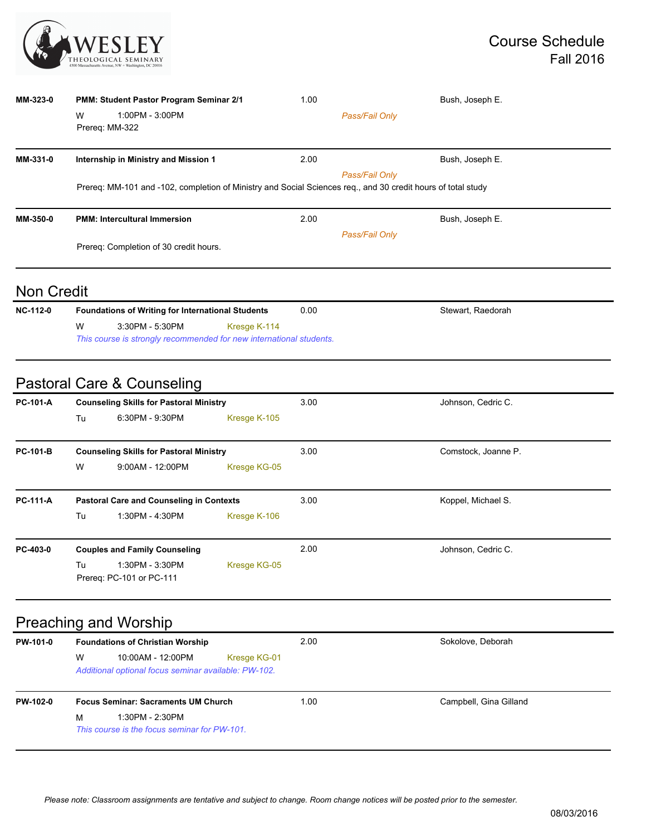

| MM-323-0 | <b>PMM: Student Pastor Program Seminar 2/1</b>                                                               | 1.00           | Bush, Joseph E. |  |  |  |  |
|----------|--------------------------------------------------------------------------------------------------------------|----------------|-----------------|--|--|--|--|
|          | W<br>1:00PM - 3:00PM<br>Prereq: MM-322                                                                       | Pass/Fail Only |                 |  |  |  |  |
| MM-331-0 | Internship in Ministry and Mission 1                                                                         | 2.00           | Bush, Joseph E. |  |  |  |  |
|          | Prereq: MM-101 and -102, completion of Ministry and Social Sciences req., and 30 credit hours of total study | Pass/Fail Only |                 |  |  |  |  |
| MM-350-0 | <b>PMM: Intercultural Immersion</b>                                                                          | 2.00           | Bush, Joseph E. |  |  |  |  |
|          | Pass/Fail Only                                                                                               |                |                 |  |  |  |  |
|          | Prereq: Completion of 30 credit hours.                                                                       |                |                 |  |  |  |  |
|          |                                                                                                              |                |                 |  |  |  |  |

#### Non Credit

| <b>NC-112-0</b> | <b>Foundations of Writing for International Students</b>            |                 |              | 0.00 | Stewart, Raedorah |
|-----------------|---------------------------------------------------------------------|-----------------|--------------|------|-------------------|
|                 | W                                                                   | 3:30PM - 5:30PM | Kresge K-114 |      |                   |
|                 | This course is strongly recommended for new international students. |                 |              |      |                   |

## Pastoral Care & Counseling

| <b>Counseling Skills for Pastoral Ministry</b>  |                    |                          | 3.00                                           | Johnson, Cedric C.  |
|-------------------------------------------------|--------------------|--------------------------|------------------------------------------------|---------------------|
| Tu                                              | 6:30PM - 9:30PM    | Kresge K-105             |                                                |                     |
|                                                 |                    |                          | 3.00                                           | Comstock, Joanne P. |
| W                                               | $9:00AM - 12:00PM$ | Kresge KG-05             |                                                |                     |
| <b>Pastoral Care and Counseling in Contexts</b> |                    |                          | 3.00                                           | Koppel, Michael S.  |
| Tu                                              | 1:30PM - 4:30PM    | Kresge K-106             |                                                |                     |
| <b>Couples and Family Counseling</b>            |                    | 2.00                     | Johnson, Cedric C.                             |                     |
| Tu                                              | 1:30PM - 3:30PM    | Kresge KG-05             |                                                |                     |
|                                                 |                    | Prereg: PC-101 or PC-111 | <b>Counseling Skills for Pastoral Ministry</b> |                     |

# Preaching and Worship

| PW-101-0 | <b>Foundations of Christian Worship</b>    |                                                                           | 2.00         | Sokolove, Deborah      |  |
|----------|--------------------------------------------|---------------------------------------------------------------------------|--------------|------------------------|--|
|          | W                                          | 10:00AM - 12:00PM<br>Additional optional focus seminar available: PW-102. | Kresge KG-01 |                        |  |
| PW-102-0 | <b>Focus Seminar: Sacraments UM Church</b> |                                                                           | 1.00         | Campbell, Gina Gilland |  |
|          | м                                          | 1:30PM - 2:30PM<br>This course is the focus seminar for PW-101.           |              |                        |  |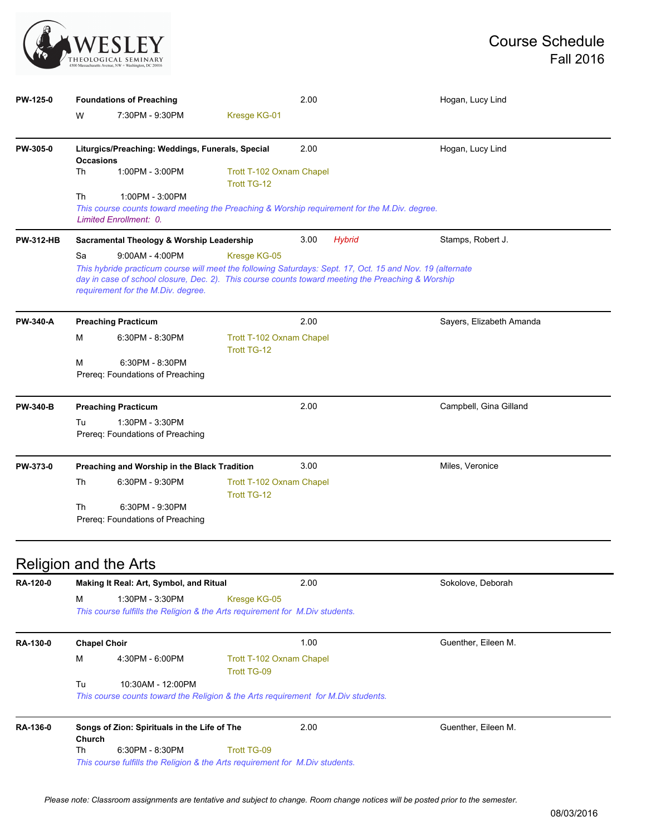

| PW-125-0         | <b>Foundations of Preaching</b>                                                                                                                                                                                                                                                                 |                                                     |                                                | 2.00          |                   | Hogan, Lucy Lind         |  |
|------------------|-------------------------------------------------------------------------------------------------------------------------------------------------------------------------------------------------------------------------------------------------------------------------------------------------|-----------------------------------------------------|------------------------------------------------|---------------|-------------------|--------------------------|--|
|                  | W                                                                                                                                                                                                                                                                                               | 7:30PM - 9:30PM                                     | Kresge KG-01                                   |               |                   |                          |  |
| PW-305-0         | Liturgics/Preaching: Weddings, Funerals, Special<br><b>Occasions</b>                                                                                                                                                                                                                            |                                                     |                                                | 2.00          |                   | Hogan, Lucy Lind         |  |
|                  | Th                                                                                                                                                                                                                                                                                              | 1:00PM - 3:00PM                                     | Trott T-102 Oxnam Chapel<br>Trott TG-12        |               |                   |                          |  |
|                  | Th<br>1:00PM - 3:00PM<br>This course counts toward meeting the Preaching & Worship requirement for the M.Div. degree.<br>Limited Enrollment: 0.                                                                                                                                                 |                                                     |                                                |               |                   |                          |  |
| <b>PW-312-HB</b> | Sacramental Theology & Worship Leadership                                                                                                                                                                                                                                                       |                                                     | 3.00                                           | <b>Hybrid</b> | Stamps, Robert J. |                          |  |
|                  | Sa<br>$9:00AM - 4:00PM$<br>Kresge KG-05<br>This hybride practicum course will meet the following Saturdays: Sept. 17, Oct. 15 and Nov. 19 (alternate<br>day in case of school closure, Dec. 2). This course counts toward meeting the Preaching & Worship<br>requirement for the M.Div. degree. |                                                     |                                                |               |                   |                          |  |
| <b>PW-340-A</b>  |                                                                                                                                                                                                                                                                                                 | <b>Preaching Practicum</b>                          |                                                | 2.00          |                   | Sayers, Elizabeth Amanda |  |
|                  |                                                                                                                                                                                                                                                                                                 |                                                     |                                                |               |                   |                          |  |
|                  | м                                                                                                                                                                                                                                                                                               | 6:30PM - 8:30PM                                     | Trott T-102 Oxnam Chapel<br>Trott TG-12        |               |                   |                          |  |
|                  | M                                                                                                                                                                                                                                                                                               | 6:30PM - 8:30PM<br>Prereg: Foundations of Preaching |                                                |               |                   |                          |  |
| <b>PW-340-B</b>  |                                                                                                                                                                                                                                                                                                 | <b>Preaching Practicum</b>                          |                                                | 2.00          |                   | Campbell, Gina Gilland   |  |
|                  | Tu                                                                                                                                                                                                                                                                                              | 1:30PM - 3:30PM<br>Prereq: Foundations of Preaching |                                                |               |                   |                          |  |
|                  |                                                                                                                                                                                                                                                                                                 | Preaching and Worship in the Black Tradition        |                                                | 3.00          |                   | Miles, Veronice          |  |
| PW-373-0         | Th                                                                                                                                                                                                                                                                                              | 6:30PM - 9:30PM                                     | Trott T-102 Oxnam Chapel<br><b>Trott TG-12</b> |               |                   |                          |  |

| RA-120-0 | Making It Real: Art, Symbol, and Ritual                       |                                                                                                         |                                                | 2.00                | Sokolove, Deborah   |  |  |
|----------|---------------------------------------------------------------|---------------------------------------------------------------------------------------------------------|------------------------------------------------|---------------------|---------------------|--|--|
|          | M                                                             | 1:30PM - 3:30PM<br>This course fulfills the Religion & the Arts requirement for M.Div students.         | Kresge KG-05                                   |                     |                     |  |  |
| RA-130-0 | <b>Chapel Choir</b>                                           |                                                                                                         |                                                | 1.00                | Guenther, Eileen M. |  |  |
|          | M                                                             | 4:30PM - 6:00PM                                                                                         | Trott T-102 Oxnam Chapel<br><b>Trott TG-09</b> |                     |                     |  |  |
|          | Tu                                                            | 10:30AM - 12:00PM<br>This course counts toward the Religion & the Arts requirement for M. Div students. |                                                |                     |                     |  |  |
| RA-136-0 | Songs of Zion: Spirituals in the Life of The<br><b>Church</b> |                                                                                                         | 2.00                                           | Guenther, Eileen M. |                     |  |  |
|          | Th                                                            | $6:30PM - 8:30PM$                                                                                       | <b>Trott TG-09</b>                             |                     |                     |  |  |
|          |                                                               | This course fulfills the Religion & the Arts requirement for M.Div students.                            |                                                |                     |                     |  |  |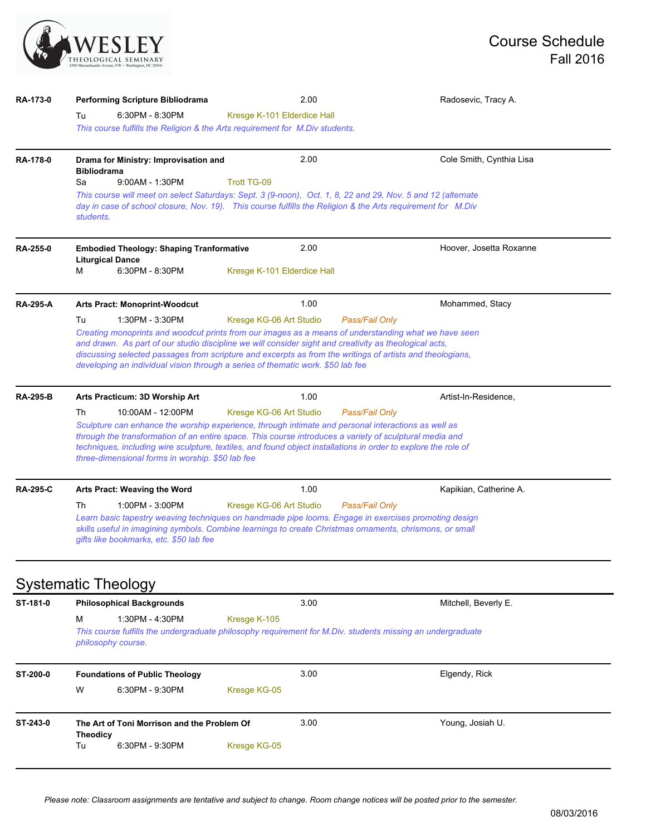

| RA-173-0        | Performing Scripture Bibliodrama                                                                                                                                                                                                                                                                                                                                                                                                                             | 2.00                                                                                                                                                                                                                                                                                                                                                                                                           | Radosevic, Tracy A.      |  |  |  |  |  |
|-----------------|--------------------------------------------------------------------------------------------------------------------------------------------------------------------------------------------------------------------------------------------------------------------------------------------------------------------------------------------------------------------------------------------------------------------------------------------------------------|----------------------------------------------------------------------------------------------------------------------------------------------------------------------------------------------------------------------------------------------------------------------------------------------------------------------------------------------------------------------------------------------------------------|--------------------------|--|--|--|--|--|
|                 | 6:30PM - 8:30PM<br>Tu<br>This course fulfills the Religion & the Arts requirement for M.Div students.                                                                                                                                                                                                                                                                                                                                                        | Kresge K-101 Elderdice Hall                                                                                                                                                                                                                                                                                                                                                                                    |                          |  |  |  |  |  |
| RA-178-0        | Drama for Ministry: Improvisation and<br><b>Bibliodrama</b><br>9:00AM - 1:30PM<br>Sa                                                                                                                                                                                                                                                                                                                                                                         | 2.00<br><b>Trott TG-09</b>                                                                                                                                                                                                                                                                                                                                                                                     | Cole Smith, Cynthia Lisa |  |  |  |  |  |
|                 | This course will meet on select Saturdays: Sept. 3 (9-noon), Oct. 1, 8, 22 and 29, Nov. 5 and 12 (alternate<br>day in case of school closure, Nov. 19). This course fulfills the Religion & the Arts requirement for M.Div<br>students.                                                                                                                                                                                                                      |                                                                                                                                                                                                                                                                                                                                                                                                                |                          |  |  |  |  |  |
| RA-255-0        | <b>Embodied Theology: Shaping Tranformative</b><br><b>Liturgical Dance</b><br>м<br>6:30PM - 8:30PM                                                                                                                                                                                                                                                                                                                                                           | 2.00<br>Kresge K-101 Elderdice Hall                                                                                                                                                                                                                                                                                                                                                                            | Hoover, Josetta Roxanne  |  |  |  |  |  |
| <b>RA-295-A</b> | <b>Arts Pract: Monoprint-Woodcut</b>                                                                                                                                                                                                                                                                                                                                                                                                                         | 1.00                                                                                                                                                                                                                                                                                                                                                                                                           | Mohammed, Stacy          |  |  |  |  |  |
|                 | Tu<br>1:30PM - 3:30PM                                                                                                                                                                                                                                                                                                                                                                                                                                        | Kresge KG-06 Art Studio<br>Pass/Fail Only                                                                                                                                                                                                                                                                                                                                                                      |                          |  |  |  |  |  |
|                 |                                                                                                                                                                                                                                                                                                                                                                                                                                                              | Creating monoprints and woodcut prints from our images as a means of understanding what we have seen<br>and drawn. As part of our studio discipline we will consider sight and creativity as theological acts,<br>discussing selected passages from scripture and excerpts as from the writings of artists and theologians,<br>developing an individual vision through a series of thematic work. \$50 lab fee |                          |  |  |  |  |  |
| <b>RA-295-B</b> | Arts Practicum: 3D Worship Art                                                                                                                                                                                                                                                                                                                                                                                                                               | 1.00                                                                                                                                                                                                                                                                                                                                                                                                           | Artist-In-Residence,     |  |  |  |  |  |
|                 | Th<br>10:00AM - 12:00PM<br>Kresge KG-06 Art Studio<br>Pass/Fail Only<br>Sculpture can enhance the worship experience, through intimate and personal interactions as well as<br>through the transformation of an entire space. This course introduces a variety of sculptural media and<br>techniques, including wire sculpture, textiles, and found object installations in order to explore the role of<br>three-dimensional forms in worship. \$50 lab fee |                                                                                                                                                                                                                                                                                                                                                                                                                |                          |  |  |  |  |  |
|                 |                                                                                                                                                                                                                                                                                                                                                                                                                                                              |                                                                                                                                                                                                                                                                                                                                                                                                                |                          |  |  |  |  |  |
|                 | Arts Pract: Weaving the Word                                                                                                                                                                                                                                                                                                                                                                                                                                 | 1.00                                                                                                                                                                                                                                                                                                                                                                                                           | Kapikian, Catherine A.   |  |  |  |  |  |
| <b>RA-295-C</b> | Th<br>$1:00PM - 3:00PM$                                                                                                                                                                                                                                                                                                                                                                                                                                      | Kresge KG-06 Art Studio<br>Pass/Fail Only                                                                                                                                                                                                                                                                                                                                                                      |                          |  |  |  |  |  |
|                 | gifts like bookmarks, etc. \$50 lab fee                                                                                                                                                                                                                                                                                                                                                                                                                      | Learn basic tapestry weaving techniques on handmade pipe looms. Engage in exercises promoting design<br>skills useful in imagining symbols. Combine learnings to create Christmas ornaments, chrismons, or small                                                                                                                                                                                               |                          |  |  |  |  |  |
|                 | <b>Systematic Theology</b>                                                                                                                                                                                                                                                                                                                                                                                                                                   |                                                                                                                                                                                                                                                                                                                                                                                                                |                          |  |  |  |  |  |
| ST-181-0        | <b>Philosophical Backgrounds</b>                                                                                                                                                                                                                                                                                                                                                                                                                             | 3.00                                                                                                                                                                                                                                                                                                                                                                                                           | Mitchell, Beverly E.     |  |  |  |  |  |
|                 | 1:30PM - 4:30PM<br>м                                                                                                                                                                                                                                                                                                                                                                                                                                         | Kresge K-105                                                                                                                                                                                                                                                                                                                                                                                                   |                          |  |  |  |  |  |
|                 | philosophy course.                                                                                                                                                                                                                                                                                                                                                                                                                                           | This course fulfills the undergraduate philosophy requirement for M.Div. students missing an undergraduate                                                                                                                                                                                                                                                                                                     |                          |  |  |  |  |  |
| ST-200-0        | <b>Foundations of Public Theology</b>                                                                                                                                                                                                                                                                                                                                                                                                                        | 3.00                                                                                                                                                                                                                                                                                                                                                                                                           | Elgendy, Rick            |  |  |  |  |  |
|                 | W<br>6:30PM - 9:30PM                                                                                                                                                                                                                                                                                                                                                                                                                                         | Kresge KG-05                                                                                                                                                                                                                                                                                                                                                                                                   |                          |  |  |  |  |  |
| ST-243-0        | The Art of Toni Morrison and the Problem Of<br><b>Theodicy</b>                                                                                                                                                                                                                                                                                                                                                                                               | 3.00                                                                                                                                                                                                                                                                                                                                                                                                           | Young, Josiah U.         |  |  |  |  |  |